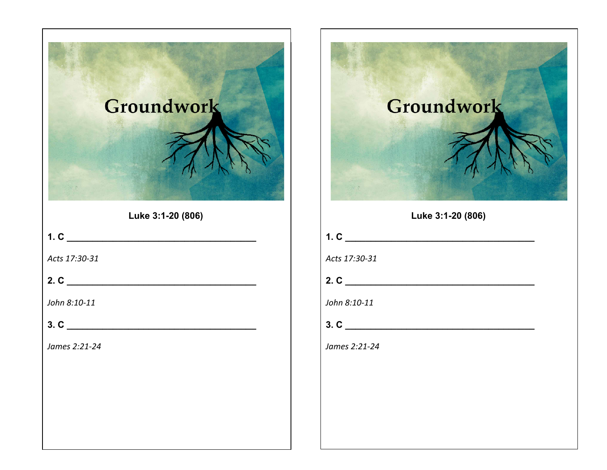| Groundwork<br>Luke 3:1-20 (806) |               |
|---------------------------------|---------------|
|                                 | 1. C          |
| Acts 17:30-31                   | Acts 17:30-31 |
| 2. C $\qquad \qquad$            |               |
| John 8:10-11                    | John 8:10-11  |
| 3. C                            | 3. C          |
| James 2:21-24                   | James 2:21-24 |



Luke 3:1-20 (806)